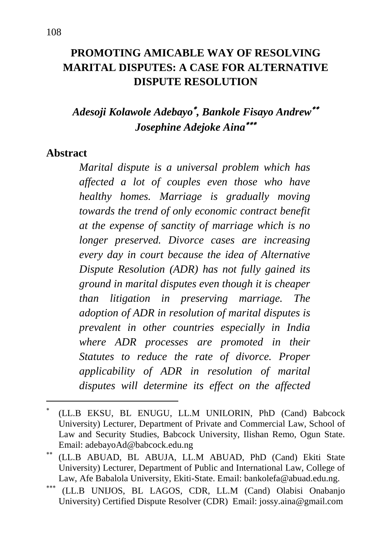# **PROMOTING AMICABLE WAY OF RESOLVING MARITAL DISPUTES: A CASE FOR ALTERNATIVE DISPUTE RESOLUTION**

# *Adesoji Kolawole Adebayo , Bankole Fisayo Andrew Josephine Adejoke Aina*

#### **Abstract**

1

*Marital dispute is a universal problem which has affected a lot of couples even those who have healthy homes. Marriage is gradually moving towards the trend of only economic contract benefit at the expense of sanctity of marriage which is no longer preserved. Divorce cases are increasing every day in court because the idea of Alternative Dispute Resolution (ADR) has not fully gained its ground in marital disputes even though it is cheaper than litigation in preserving marriage. The adoption of ADR in resolution of marital disputes is prevalent in other countries especially in India where ADR processes are promoted in their Statutes to reduce the rate of divorce. Proper applicability of ADR in resolution of marital disputes will determine its effect on the affected* 

(LL.B EKSU, BL ENUGU, LL.M UNILORIN, PhD (Cand) Babcock University) Lecturer, Department of Private and Commercial Law, School of Law and Security Studies, Babcock University, Ilishan Remo, Ogun State. Email: [adebayoAd@babcock.edu.](mailto:adebayoAd@babcock.edu)ng

(LL.B ABUAD, BL ABUJA, LL.M ABUAD, PhD (Cand) Ekiti State University) Lecturer, Department of Public and International Law, College of Law, Afe Babalola University, Ekiti-State. Email: [bankolefa@abuad.edu.ng.](mailto:bankolefa@abuad.edu.ng) 

<sup>\*\*\*</sup> (LL.B UNIJOS, BL LAGOS, CDR, LL.M (Cand) Olabisi Onabanjo University) Certified Dispute Resolver (CDR) Email: jossy.aina@gmail.com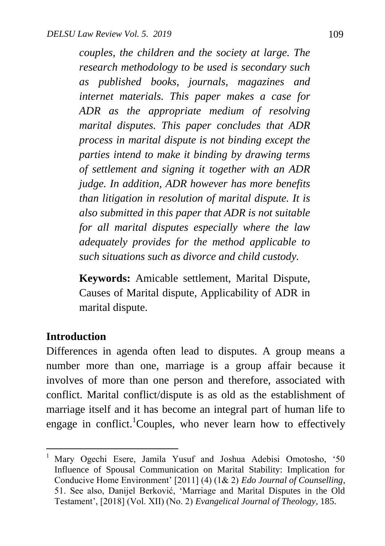*couples, the children and the society at large. The research methodology to be used is secondary such as published books, journals, magazines and internet materials. This paper makes a case for ADR as the appropriate medium of resolving marital disputes. This paper concludes that ADR process in marital dispute is not binding except the parties intend to make it binding by drawing terms of settlement and signing it together with an ADR judge. In addition, ADR however has more benefits than litigation in resolution of marital dispute. It is also submitted in this paper that ADR is not suitable for all marital disputes especially where the law adequately provides for the method applicable to such situations such as divorce and child custody.*

**Keywords:** Amicable settlement, Marital Dispute, Causes of Marital dispute, Applicability of ADR in marital dispute.

#### **Introduction**

 $\ddot{\phantom{a}}$ 

Differences in agenda often lead to disputes. A group means a number more than one, marriage is a group affair because it involves of more than one person and therefore, associated with conflict. Marital conflict/dispute is as old as the establishment of marriage itself and it has become an integral part of human life to engage in conflict.<sup>1</sup>Couples, who never learn how to effectively

<sup>&</sup>lt;sup>1</sup> Mary Ogechi Esere, Jamila Yusuf and Joshua Adebisi Omotosho, '50 Influence of Spousal Communication on Marital Stability: Implication for Conducive Home Environment" [2011] (4) (1& 2) *Edo Journal of Counselling*, 51. See also, Danijel Berković, "Marriage and Marital Disputes in the Old Testament", [2018] (Vol. XII) (No. 2) *Evangelical Journal of Theology*, 185.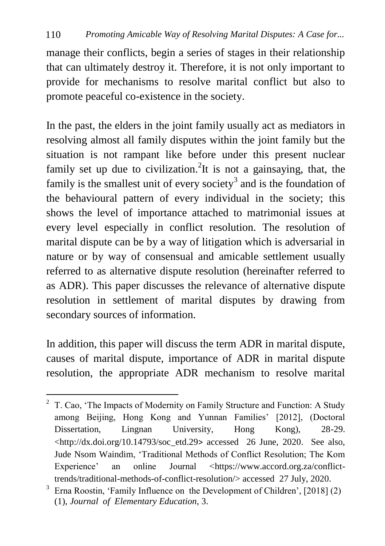manage their conflicts, begin a series of stages in their relationship that can ultimately destroy it. Therefore, it is not only important to provide for mechanisms to resolve marital conflict but also to promote peaceful co-existence in the society.

In the past, the elders in the joint family usually act as mediators in resolving almost all family disputes within the joint family but the situation is not rampant like before under this present nuclear family set up due to civilization.<sup>2</sup>It is not a gainsaying, that, the family is the smallest unit of every society<sup>3</sup> and is the foundation of the behavioural pattern of every individual in the society; this shows the level of importance attached to matrimonial issues at every level especially in conflict resolution. The resolution of marital dispute can be by a way of litigation which is adversarial in nature or by way of consensual and amicable settlement usually referred to as alternative dispute resolution (hereinafter referred to as ADR). This paper discusses the relevance of alternative dispute resolution in settlement of marital disputes by drawing from secondary sources of information.

In addition, this paper will discuss the term ADR in marital dispute, causes of marital dispute, importance of ADR in marital dispute resolution, the appropriate ADR mechanism to resolve marital

 $\ddot{\phantom{a}}$  $2^2$  T. Cao, 'The Impacts of Modernity on Family Structure and Function: A Study among Beijing, Hong Kong and Yunnan Families' [2012], (Doctoral Dissertation, Lingnan University, Hong Kong), 28-29.  $\lt$ http://dx.doi.org/10.14793/soc\_etd.29> accessed 26 June, 2020. See also, [Jude Nsom Waindim,](https://www.accord.org.za/people/jude-nsom-waindim/) "Traditional Methods of Conflict Resolution; The Kom Experience' an online Journal [<https://www.accord.org.za/conflict](https://www.accord.org.za/conflict-trends/traditional-methods-of-conflict-resolution/)[trends/traditional-methods-of-conflict-resolution/>](https://www.accord.org.za/conflict-trends/traditional-methods-of-conflict-resolution/) accessed 27 July, 2020.

<sup>&</sup>lt;sup>3</sup> Erna Roostin, 'Family Influence on the Development of Children',  $[2018]$  (2) (1), *Journal of Elementary Education*, 3.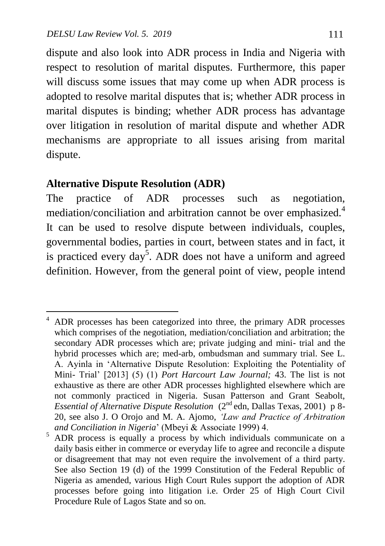dispute and also look into ADR process in India and Nigeria with respect to resolution of marital disputes. Furthermore, this paper will discuss some issues that may come up when ADR process is adopted to resolve marital disputes that is; whether ADR process in marital disputes is binding; whether ADR process has advantage over litigation in resolution of marital dispute and whether ADR mechanisms are appropriate to all issues arising from marital dispute.

#### **Alternative Dispute Resolution (ADR)**

1

The practice of ADR processes such as negotiation, mediation/conciliation and arbitration cannot be over emphasized.<sup>4</sup> It can be used to resolve dispute between individuals, couples, governmental bodies, parties in court, between states and in fact, it is practiced every day<sup>5</sup>. ADR does not have a uniform and agreed definition. However, from the general point of view, people intend

<sup>&</sup>lt;sup>4</sup> ADR processes has been categorized into three, the primary ADR processes which comprises of the negotiation, mediation/conciliation and arbitration; the secondary ADR processes which are; private judging and mini- trial and the hybrid processes which are; med-arb, ombudsman and summary trial. See L. A. Ayinla in "Alternative Dispute Resolution: Exploiting the Potentiality of Mini- Trial" [2013] (5) (1) *Port Harcourt Law Journal;* 43. The list is not exhaustive as there are other ADR processes highlighted elsewhere which are not commonly practiced in Nigeria. Susan Patterson and Grant Seabolt, *Essential of Alternative Dispute Resolution* (2nd edn, Dallas Texas, 2001) p 8- 20, see also J. O Orojo and M. A. Ajomo, *'Law and Practice of Arbitration and Conciliation in Nigeria*" (Mbeyi & Associate 1999) 4.

<sup>&</sup>lt;sup>5</sup> ADR process is equally a process by which individuals communicate on a daily basis either in commerce or everyday life to agree and reconcile a dispute or disagreement that may not even require the involvement of a third party. See also Section 19 (d) of the 1999 Constitution of the Federal Republic of Nigeria as amended, various High Court Rules support the adoption of ADR processes before going into litigation i.e. Order 25 of High Court Civil Procedure Rule of Lagos State and so on.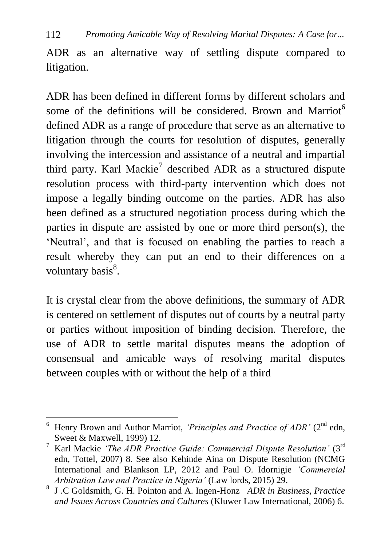ADR as an alternative way of settling dispute compared to litigation.

ADR has been defined in different forms by different scholars and some of the definitions will be considered. Brown and Marriot<sup>6</sup> defined ADR as a range of procedure that serve as an alternative to litigation through the courts for resolution of disputes, generally involving the intercession and assistance of a neutral and impartial third party. Karl Mackie<sup>7</sup> described ADR as a structured dispute resolution process with third-party intervention which does not impose a legally binding outcome on the parties. ADR has also been defined as a structured negotiation process during which the parties in dispute are assisted by one or more third person(s), the "Neutral", and that is focused on enabling the parties to reach a result whereby they can put an end to their differences on a voluntary basis<sup>8</sup>.

It is crystal clear from the above definitions, the summary of ADR is centered on settlement of disputes out of courts by a neutral party or parties without imposition of binding decision. Therefore, the use of ADR to settle marital disputes means the adoption of consensual and amicable ways of resolving marital disputes between couples with or without the help of a third

 $\ddot{\phantom{a}}$ 

<sup>&</sup>lt;sup>6</sup> Henry Brown and Author Marriot, *'Principles and Practice of ADR'* (2<sup>nd</sup> edn, Sweet & Maxwell, 1999) 12.

<sup>7</sup> Karl Mackie *'The ADR Practice Guide: Commercial Dispute Resolution'* (3rd edn, Tottel, 2007) 8. See also Kehinde Aina on Dispute Resolution (NCMG International and Blankson LP, 2012 and Paul O. Idornigie *'Commercial Arbitration Law and Practice in Nigeria'* (Law lords, 2015) 29.

<sup>8</sup> J .C Goldsmith, G. H. Pointon and A. Ingen-Honz *ADR in Business, Practice and Issues Across Countries and Cultures* (Kluwer Law International, 2006) 6.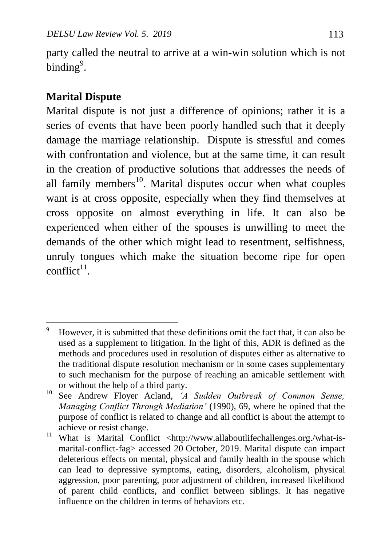party called the neutral to arrive at a win-win solution which is not binding $9$ .

# **Marital Dispute**

Marital dispute is not just a difference of opinions; rather it is a series of events that have been poorly handled such that it deeply damage the marriage relationship. Dispute is stressful and comes with confrontation and violence, but at the same time, it can result in the creation of productive solutions that addresses the needs of all family members<sup>10</sup>. Marital disputes occur when what couples want is at cross opposite, especially when they find themselves at cross opposite on almost everything in life. It can also be experienced when either of the spouses is unwilling to meet the demands of the other which might lead to resentment, selfishness, unruly tongues which make the situation become ripe for open  $conflict^{11}$ .

 $\overline{9}$ <sup>9</sup> However, it is submitted that these definitions omit the fact that, it can also be used as a supplement to litigation. In the light of this, ADR is defined as the methods and procedures used in resolution of disputes either as alternative to the traditional dispute resolution mechanism or in some cases supplementary to such mechanism for the purpose of reaching an amicable settlement with or without the help of a third party.

<sup>10</sup> See Andrew Floyer Acland, *'A Sudden Outbreak of Common Sense; Managing Conflict Through Mediation'* (1990), 69, where he opined that the purpose of conflict is related to change and all conflict is about the attempt to achieve or resist change.

<sup>&</sup>lt;sup>11</sup> What is Marital Conflict <http://www.allaboutlifechallenges.org./what-ismarital-conflict-fag> accessed 20 October, 2019. Marital dispute can impact deleterious effects on mental, physical and family health in the spouse which can lead to depressive symptoms, eating, disorders, alcoholism, physical aggression, poor parenting, poor adjustment of children, increased likelihood of parent child conflicts, and conflict between siblings. It has negative influence on the children in terms of behaviors etc.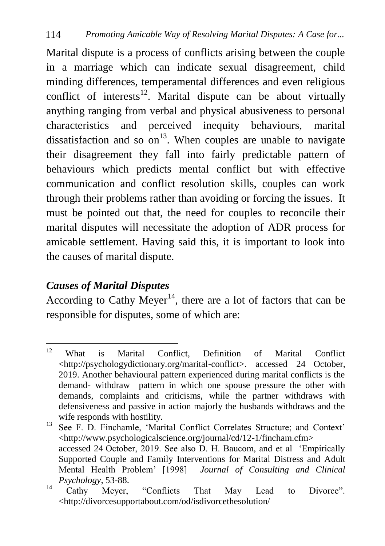Marital dispute is a process of conflicts arising between the couple in a marriage which can indicate sexual disagreement, child minding differences, temperamental differences and even religious conflict of interests<sup>12</sup>. Marital dispute can be about virtually anything ranging from verbal and physical abusiveness to personal characteristics and perceived inequity behaviours, marital dissatisfaction and so on<sup>13</sup>. When couples are unable to navigate their disagreement they fall into fairly predictable pattern of behaviours which predicts mental conflict but with effective communication and conflict resolution skills, couples can work through their problems rather than avoiding or forcing the issues. It must be pointed out that, the need for couples to reconcile their marital disputes will necessitate the adoption of ADR process for amicable settlement. Having said this, it is important to look into the causes of marital dispute.

### *Causes of Marital Disputes*

According to Cathy Meyer<sup>14</sup>, there are a lot of factors that can be responsible for disputes, some of which are:

 $12<sup>°</sup>$ <sup>12</sup> What is Marital Conflict, Definition of Marital Conflict [<http://psychologydictionary.org/marital-conflict>](http://psychologydictionary.org/marital-conflict). accessed 24 October, 2019. Another behavioural pattern experienced during marital conflicts is the demand- withdraw pattern in which one spouse pressure the other with demands, complaints and criticisms, while the partner withdraws with defensiveness and passive in action majorly the husbands withdraws and the wife responds with hostility.

<sup>&</sup>lt;sup>13</sup> See F. D. Finchamle, 'Marital Conflict Correlates Structure; and Context' <http://www.psychologicalscience.org/journal/cd/12-1/fincham.cfm> accessed 24 October, 2019. See also D. H. Baucom, and et al "Empirically Supported Couple and Family Interventions for Marital Distress and Adult Mental Health Problem" [1998] *Journal of Consulting and Clinical Psychology*, 53-88.

<sup>&</sup>lt;sup>14</sup> Cathy Meyer, "Conflicts That May Lead to Divorce". <http://divorcesupportabout.com/od/isdivorcethesolution/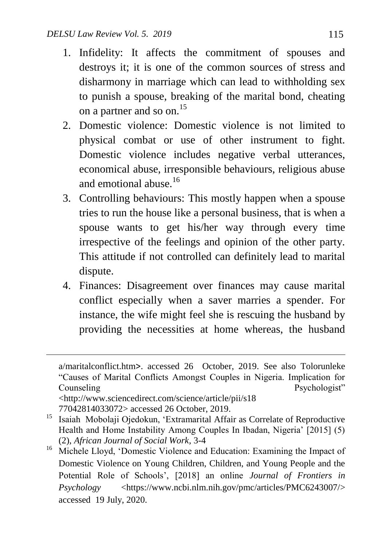- 1. Infidelity: It affects the commitment of spouses and destroys it; it is one of the common sources of stress and disharmony in marriage which can lead to withholding sex to punish a spouse, breaking of the marital bond, cheating on a partner and so on.<sup>15</sup>
- 2. Domestic violence: Domestic violence is not limited to physical combat or use of other instrument to fight. Domestic violence includes negative verbal utterances, economical abuse, irresponsible behaviours, religious abuse and emotional abuse  $16$
- 3. Controlling behaviours: This mostly happen when a spouse tries to run the house like a personal business, that is when a spouse wants to get his/her way through every time irrespective of the feelings and opinion of the other party. This attitude if not controlled can definitely lead to marital dispute.
- 4. Finances: Disagreement over finances may cause marital conflict especially when a saver marries a spender. For instance, the wife might feel she is rescuing the husband by providing the necessities at home whereas, the husband

<http://www.sciencedirect.com/science/article/pii/s18 77042814033072> accessed 26 October, 2019.

 $\overline{a}$ 

a/maritalconflict.htm>. accessed 26 October, 2019. See also Tolorunleke "Causes of Marital Conflicts Amongst Couples in Nigeria. Implication for Counseling Psychologist"

<sup>15</sup> Isaiah Mobolaji Ojedokun, "Extramarital Affair as Correlate of Reproductive Health and Home Instability Among Couples In Ibadan, Nigeria' [2015] (5) (2), *African Journal of Social Work*, 3-4

<sup>&</sup>lt;sup>16</sup> Michele Lloyd, 'Domestic Violence and Education: Examining the Impact of Domestic Violence on Young Children, Children, and Young People and the Potential Role of Schools", [2018] an online *Journal of Frontiers in Psychology* [<https://www.ncbi.nlm.nih.gov/pmc/articles/PMC6243007/>](https://www.ncbi.nlm.nih.gov/pmc/articles/PMC6243007/) accessed 19 July, 2020.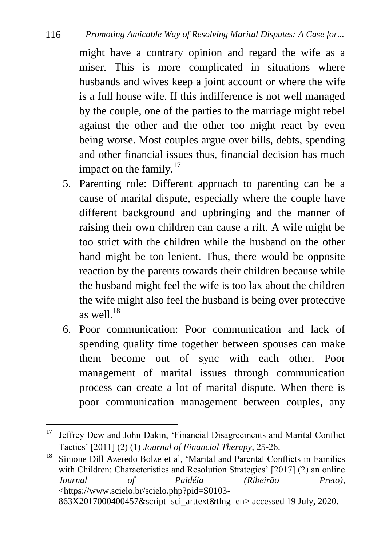#### 116 *Promoting Amicable Way of Resolving Marital Disputes: A Case for...*

might have a contrary opinion and regard the wife as a miser. This is more complicated in situations where husbands and wives keep a joint account or where the wife is a full house wife. If this indifference is not well managed by the couple, one of the parties to the marriage might rebel against the other and the other too might react by even being worse. Most couples argue over bills, debts, spending and other financial issues thus, financial decision has much impact on the family. $17$ 

- 5. Parenting role: Different approach to parenting can be a cause of marital dispute, especially where the couple have different background and upbringing and the manner of raising their own children can cause a rift. A wife might be too strict with the children while the husband on the other hand might be too lenient. Thus, there would be opposite reaction by the parents towards their children because while the husband might feel the wife is too lax about the children the wife might also feel the husband is being over protective as well $18$
- 6. Poor communication: Poor communication and lack of spending quality time together between spouses can make them become out of sync with each other. Poor management of marital issues through communication process can create a lot of marital dispute. When there is poor communication management between couples, any

<sup>17</sup> <sup>17</sup> Jeffrey Dew and John Dakin, "Financial Disagreements and Marital Conflict Tactics" [2011] (2) (1) *Journal of Financial Therapy*, 25-26.

<sup>&</sup>lt;sup>18</sup> Simone Dill Azeredo Bolze et al, 'Marital and Parental Conflicts in Families with Children: Characteristics and Resolution Strategies' [2017] (2) an online *Journal of Paidéia (Ribeirão Preto)*, [<https://www.scielo.br/scielo.php?pid=S0103-](https://www.scielo.br/scielo.php?pid=S0103-863X2017000400457&script=sci_arttext&tlng=en) [863X2017000400457&script=sci\\_arttext&tlng=en>](https://www.scielo.br/scielo.php?pid=S0103-863X2017000400457&script=sci_arttext&tlng=en) accessed 19 July, 2020.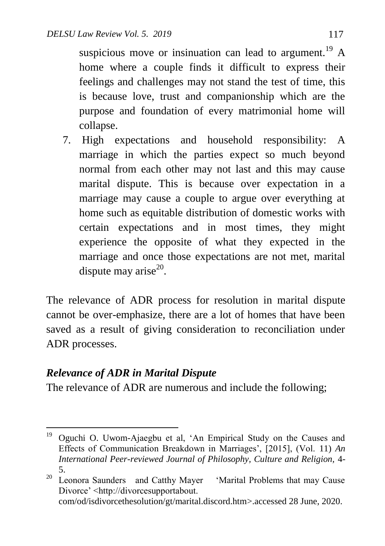suspicious move or insinuation can lead to argument.<sup>19</sup> A home where a couple finds it difficult to express their feelings and challenges may not stand the test of time, this is because love, trust and companionship which are the purpose and foundation of every matrimonial home will collapse.

7. High expectations and household responsibility: A marriage in which the parties expect so much beyond normal from each other may not last and this may cause marital dispute. This is because over expectation in a marriage may cause a couple to argue over everything at home such as equitable distribution of domestic works with certain expectations and in most times, they might experience the opposite of what they expected in the marriage and once those expectations are not met, marital dispute may arise $^{20}$ .

The relevance of ADR process for resolution in marital dispute cannot be over-emphasize, there are a lot of homes that have been saved as a result of giving consideration to reconciliation under ADR processes.

# *Relevance of ADR in Marital Dispute*

The relevance of ADR are numerous and include the following;

 $\overline{a}$ <sup>19</sup> Oguchi O. Uwom-Ajaegbu et al, 'An Empirical Study on the Causes and Effects of Communication Breakdown in Marriages", [2015], (Vol. 11) *An International Peer-reviewed Journal of Philosophy, Culture and Religion,* 4- 5.

<sup>&</sup>lt;sup>20</sup> Leonora Saunders and Catthy Mayer 'Marital Problems that may Cause Divorce" <http://divorcesupportabout. com/od/isdivorcethesolution/gt/marital.discord.htm>.accessed 28 June, 2020.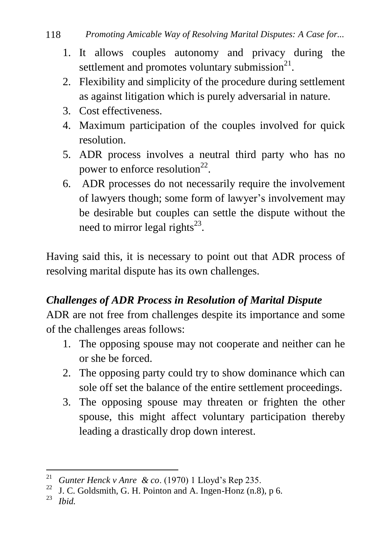- 1. It allows couples autonomy and privacy during the settlement and promotes voluntary submission $^{21}$ .
- 2. Flexibility and simplicity of the procedure during settlement as against litigation which is purely adversarial in nature.
- 3. Cost effectiveness.
- 4. Maximum participation of the couples involved for quick resolution.
- 5. ADR process involves a neutral third party who has no power to enforce resolution<sup>22</sup>.
- 6. ADR processes do not necessarily require the involvement of lawyers though; some form of lawyer"s involvement may be desirable but couples can settle the dispute without the need to mirror legal rights $^{23}$ .

Having said this, it is necessary to point out that ADR process of resolving marital dispute has its own challenges.

# *Challenges of ADR Process in Resolution of Marital Dispute*

ADR are not free from challenges despite its importance and some of the challenges areas follows:

- 1. The opposing spouse may not cooperate and neither can he or she be forced.
- 2. The opposing party could try to show dominance which can sole off set the balance of the entire settlement proceedings.
- 3. The opposing spouse may threaten or frighten the other spouse, this might affect voluntary participation thereby leading a drastically drop down interest.

<sup>1</sup> <sup>21</sup> *Gunter Henck v Anre & co.* (1970) 1 Lloyd's Rep 235.

<sup>&</sup>lt;sup>22</sup> J. C. Goldsmith, G. H. Pointon and A. Ingen-Honz (n.8), p 6.<br><sup>23</sup> I<sub>L</sub>:

<sup>23</sup> *Ibid.*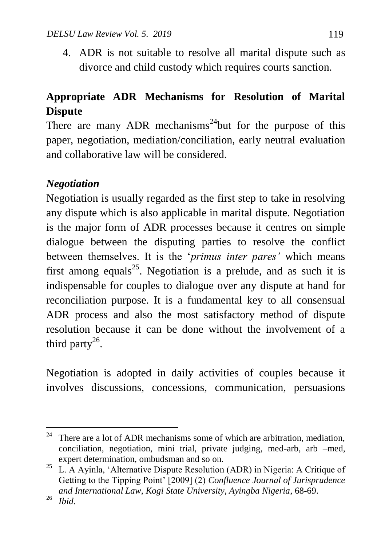4. ADR is not suitable to resolve all marital dispute such as divorce and child custody which requires courts sanction.

# **Appropriate ADR Mechanisms for Resolution of Marital Dispute**

There are many ADR mechanisms<sup>24</sup>but for the purpose of this paper, negotiation, mediation/conciliation, early neutral evaluation and collaborative law will be considered.

### *Negotiation*

Negotiation is usually regarded as the first step to take in resolving any dispute which is also applicable in marital dispute. Negotiation is the major form of ADR processes because it centres on simple dialogue between the disputing parties to resolve the conflict between themselves. It is the "*primus inter pares'* which means first among equals<sup>25</sup>. Negotiation is a prelude, and as such it is indispensable for couples to dialogue over any dispute at hand for reconciliation purpose. It is a fundamental key to all consensual ADR process and also the most satisfactory method of dispute resolution because it can be done without the involvement of a third party<sup>26</sup>.

Negotiation is adopted in daily activities of couples because it involves discussions, concessions, communication, persuasions

 $\overline{a}$ <sup>24</sup> There are a lot of ADR mechanisms some of which are arbitration, mediation, conciliation, negotiation, mini trial, private judging, med-arb, arb –med, expert determination, ombudsman and so on.

<sup>&</sup>lt;sup>25</sup> L. A Ayinla, 'Alternative Dispute Resolution (ADR) in Nigeria: A Critique of Getting to the Tipping Point" [2009] (2) *Confluence Journal of Jurisprudence and International Law*, *Kogi State University, Ayingba Nigeria*, 68-69.

<sup>26</sup> *Ibid*.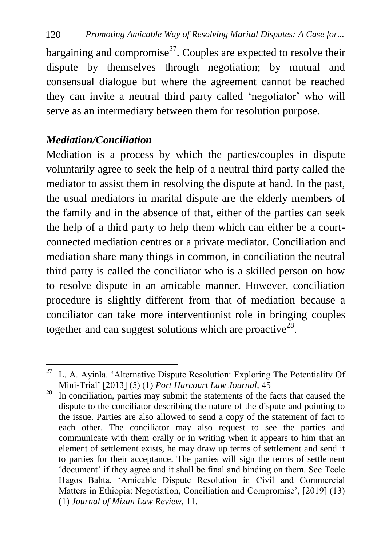bargaining and compromise<sup>27</sup>. Couples are expected to resolve their dispute by themselves through negotiation; by mutual and consensual dialogue but where the agreement cannot be reached they can invite a neutral third party called "negotiator" who will serve as an intermediary between them for resolution purpose.

### *Mediation/Conciliation*

1

Mediation is a process by which the parties/couples in dispute voluntarily agree to seek the help of a neutral third party called the mediator to assist them in resolving the dispute at hand. In the past, the usual mediators in marital dispute are the elderly members of the family and in the absence of that, either of the parties can seek the help of a third party to help them which can either be a courtconnected mediation centres or a private mediator. Conciliation and mediation share many things in common, in conciliation the neutral third party is called the conciliator who is a skilled person on how to resolve dispute in an amicable manner. However, conciliation procedure is slightly different from that of mediation because a conciliator can take more interventionist role in bringing couples together and can suggest solutions which are proactive<sup>28</sup>.

 $27$  L. A. Ayinla. 'Alternative Dispute Resolution: Exploring The Potentiality Of Mini-Trial" [2013] (5) (1) *Port Harcourt Law Journal,* 45

<sup>&</sup>lt;sup>28</sup> In conciliation, parties may submit the statements of the facts that caused the dispute to the conciliator describing the nature of the dispute and pointing to the issue. Parties are also allowed to send a copy of the statement of fact to each other. The conciliator may also request to see the parties and communicate with them orally or in writing when it appears to him that an element of settlement exists, he may draw up terms of settlement and send it to parties for their acceptance. The parties will sign the terms of settlement "document" if they agree and it shall be final and binding on them. See Tecle Hagos Bahta, "Amicable Dispute Resolution in Civil and Commercial Matters in Ethiopia: Negotiation, Conciliation and Compromise', [2019] (13) (1) *Journal of Mizan Law Review*, 11.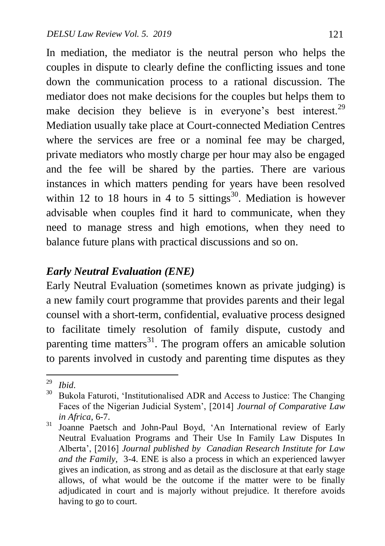In mediation, the mediator is the neutral person who helps the couples in dispute to clearly define the conflicting issues and tone down the communication process to a rational discussion. The mediator does not make decisions for the couples but helps them to make decision they believe is in everyone's best interest.<sup>29</sup> Mediation usually take place at Court-connected Mediation Centres where the services are free or a nominal fee may be charged, private mediators who mostly charge per hour may also be engaged and the fee will be shared by the parties. There are various instances in which matters pending for years have been resolved within 12 to 18 hours in 4 to 5 sittings<sup>30</sup>. Mediation is however advisable when couples find it hard to communicate, when they need to manage stress and high emotions, when they need to balance future plans with practical discussions and so on.

### *Early Neutral Evaluation (ENE)*

Early Neutral Evaluation (sometimes known as private judging) is a new family court programme that provides parents and their legal counsel with a short-term, confidential, evaluative process designed to facilitate timely resolution of family dispute, custody and parenting time matters<sup>31</sup>. The program offers an amicable solution to parents involved in custody and parenting time disputes as they

 $29$  $\frac{29}{30}$  *Ibid.* 

Bukola Faturoti, 'Institutionalised ADR and Access to Justice: The Changing Faces of the Nigerian Judicial System", [2014] *Journal of Comparative Law in Africa*, 6-7.

<sup>31</sup> Joanne Paetsch and John-Paul Boyd, "An International review of Early Neutral Evaluation Programs and Their Use In Family Law Disputes In Alberta", [2016] *Journal published by Canadian Research Institute for Law and the Family*, 3-4. ENE is also a process in which an experienced lawyer gives an indication, as strong and as detail as the disclosure at that early stage allows, of what would be the outcome if the matter were to be finally adjudicated in court and is majorly without prejudice. It therefore avoids having to go to court.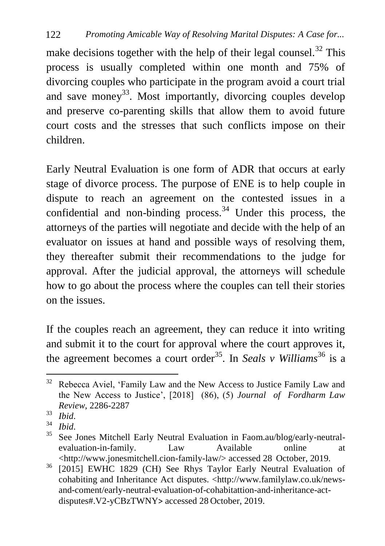make decisions together with the help of their legal counsel.<sup>32</sup> This process is usually completed within one month and 75% of divorcing couples who participate in the program avoid a court trial and save money<sup>33</sup>. Most importantly, divorcing couples develop and preserve co-parenting skills that allow them to avoid future court costs and the stresses that such conflicts impose on their children.

Early Neutral Evaluation is one form of ADR that occurs at early stage of divorce process. The purpose of ENE is to help couple in dispute to reach an agreement on the contested issues in a confidential and non-binding process. $34$  Under this process, the attorneys of the parties will negotiate and decide with the help of an evaluator on issues at hand and possible ways of resolving them, they thereafter submit their recommendations to the judge for approval. After the judicial approval, the attorneys will schedule how to go about the process where the couples can tell their stories on the issues.

If the couples reach an agreement, they can reduce it into writing and submit it to the court for approval where the court approves it, the agreement becomes a court order<sup>35</sup>. In *Seals v Williams*<sup>36</sup> is a

 $32$ Rebecca Aviel, 'Family Law and the New Access to Justice Family Law and the New Access to Justice", [2018] (86), (5) *Journal of Fordharm Law Review*, 2286-2287

 $rac{33}{34}$  *Ibid.* 

 $rac{34}{35}$  *Ibid.* 

See Jones Mitchell Early Neutral Evaluation in Faom.au/blog/early-neutralevaluation-in-family. Law Available online at [<http://www.jonesmitchell.cion-family-law/>](http://www.jonesmitchell.cion-family-law/) accessed 28 October, 2019.

<sup>&</sup>lt;sup>36</sup> [2015] EWHC 1829 (CH) See Rhys Taylor Early Neutral Evaluation of cohabiting and Inheritance Act disputes. [<http://www.familylaw.co.uk/news](http://www.familylaw.co.uk/news-and-coment/early-neutral-evaluation-of-cohabitattion-and-inheritance-act-disputes#.V2-yCBzTWNY)[and-coment/early-neutral-evaluation-of-cohabitattion-and-inheritance-act](http://www.familylaw.co.uk/news-and-coment/early-neutral-evaluation-of-cohabitattion-and-inheritance-act-disputes#.V2-yCBzTWNY)[disputes#.V2-yCBzTWNY](http://www.familylaw.co.uk/news-and-coment/early-neutral-evaluation-of-cohabitattion-and-inheritance-act-disputes#.V2-yCBzTWNY)> accessed 28 October, 2019.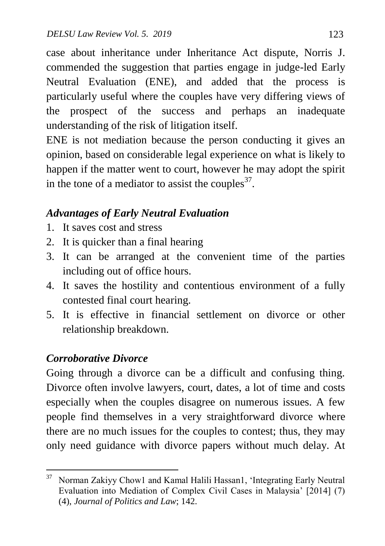case about inheritance under Inheritance Act dispute, Norris J. commended the suggestion that parties engage in judge-led Early Neutral Evaluation (ENE), and added that the process is particularly useful where the couples have very differing views of the prospect of the success and perhaps an inadequate understanding of the risk of litigation itself.

ENE is not mediation because the person conducting it gives an opinion, based on considerable legal experience on what is likely to happen if the matter went to court, however he may adopt the spirit in the tone of a mediator to assist the couples<sup>37</sup>.

# *Advantages of Early Neutral Evaluation*

- 1. It saves cost and stress
- 2. It is quicker than a final hearing
- 3. It can be arranged at the convenient time of the parties including out of office hours.
- 4. It saves the hostility and contentious environment of a fully contested final court hearing.
- 5. It is effective in financial settlement on divorce or other relationship breakdown.

# *Corroborative Divorce*

Going through a divorce can be a difficult and confusing thing. Divorce often involve lawyers, court, dates, a lot of time and costs especially when the couples disagree on numerous issues. A few people find themselves in a very straightforward divorce where there are no much issues for the couples to contest; thus, they may only need guidance with divorce papers without much delay. At

<sup>1</sup> <sup>37</sup> Norman Zakiyy Chow1 and Kamal Halili Hassan1, 'Integrating Early Neutral Evaluation into Mediation of Complex Civil Cases in Malaysia" [2014] (7) (4), *Journal of Politics and Law*; 142.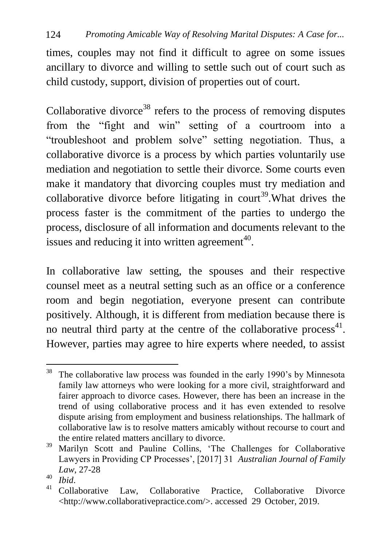times, couples may not find it difficult to agree on some issues ancillary to divorce and willing to settle such out of court such as child custody, support, division of properties out of court.

Collaborative divorce<sup>38</sup> refers to the process of removing disputes from the "fight and win" setting of a courtroom into a "troubleshoot and problem solve" setting negotiation. Thus, a collaborative divorce is a process by which parties voluntarily use mediation and negotiation to settle their divorce. Some courts even make it mandatory that divorcing couples must try mediation and collaborative divorce before litigating in court<sup>39</sup>. What drives the process faster is the commitment of the parties to undergo the process, disclosure of all information and documents relevant to the issues and reducing it into written agreement<sup>40</sup>.

In collaborative law setting, the spouses and their respective counsel meet as a neutral setting such as an office or a conference room and begin negotiation, everyone present can contribute positively. Although, it is different from mediation because there is no neutral third party at the centre of the collaborative process $41$ . However, parties may agree to hire experts where needed, to assist

<sup>1</sup>  $38$  The collaborative law process was founded in the early 1990's by Minnesota family law attorneys who were looking for a more civil, straightforward and fairer approach to divorce cases. However, there has been an increase in the trend of using collaborative process and it has even extended to resolve dispute arising from employment and business relationships. The hallmark of collaborative law is to resolve matters amicably without recourse to court and the entire related matters ancillary to divorce.

<sup>&</sup>lt;sup>39</sup> Marilyn Scott and Pauline Collins, 'The Challenges for Collaborative Lawyers in Providing CP Processes", [2017] 31 *Australian Journal of Family Law*, 27-28

 $^{40}$  *Ibid.*<br> $^{41}$  C<sub>2</sub>11<sub>2</sub>

Collaborative Law, Collaborative Practice, Collaborative Divorce [<http://www.collaborativepractice.com/>](http://www.collaborativepractice.com/). accessed 29 October, 2019.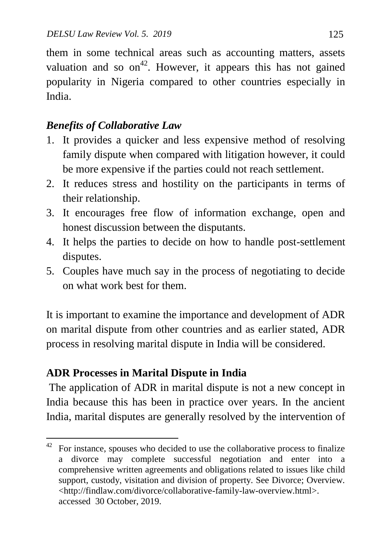them in some technical areas such as accounting matters, assets valuation and so  $on<sup>42</sup>$ . However, it appears this has not gained popularity in Nigeria compared to other countries especially in India.

## *Benefits of Collaborative Law*

- 1. It provides a quicker and less expensive method of resolving family dispute when compared with litigation however, it could be more expensive if the parties could not reach settlement.
- 2. It reduces stress and hostility on the participants in terms of their relationship.
- 3. It encourages free flow of information exchange, open and honest discussion between the disputants.
- 4. It helps the parties to decide on how to handle post-settlement disputes.
- 5. Couples have much say in the process of negotiating to decide on what work best for them.

It is important to examine the importance and development of ADR on marital dispute from other countries and as earlier stated, ADR process in resolving marital dispute in India will be considered.

# **ADR Processes in Marital Dispute in India**

The application of ADR in marital dispute is not a new concept in India because this has been in practice over years. In the ancient India, marital disputes are generally resolved by the intervention of

<sup>42</sup> <sup>42</sup> For instance, spouses who decided to use the collaborative process to finalize a divorce may complete successful negotiation and enter into a comprehensive written agreements and obligations related to issues like child support, custody, visitation and division of property. See Divorce; Overview. [<http://findlaw.com/divorce/collaborative-family-law-overview.html>](http://findlaw.com/divorce/collaborative-family-law-overview.html). accessed 30 October, 2019.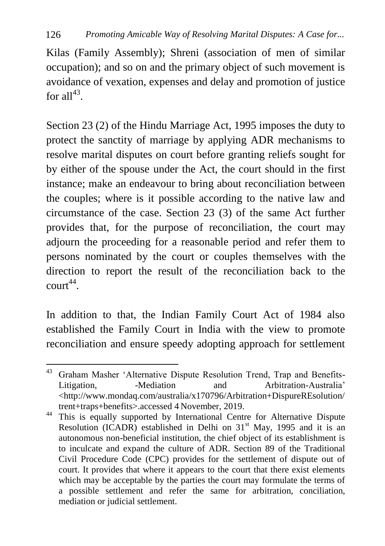Kilas (Family Assembly); Shreni (association of men of similar occupation); and so on and the primary object of such movement is avoidance of vexation, expenses and delay and promotion of justice for all $^{43}$ .

Section 23 (2) of the Hindu Marriage Act, 1995 imposes the duty to protect the sanctity of marriage by applying ADR mechanisms to resolve marital disputes on court before granting reliefs sought for by either of the spouse under the Act, the court should in the first instance; make an endeavour to bring about reconciliation between the couples; where is it possible according to the native law and circumstance of the case. Section 23 (3) of the same Act further provides that, for the purpose of reconciliation, the court may adjourn the proceeding for a reasonable period and refer them to persons nominated by the court or couples themselves with the direction to report the result of the reconciliation back to the  $\text{court}^{44}$ .

In addition to that, the Indian Family Court Act of 1984 also established the Family Court in India with the view to promote reconciliation and ensure speedy adopting approach for settlement

<sup>1</sup> <sup>43</sup> Graham Masher 'Alternative Dispute Resolution Trend, Trap and Benefits-Litigation, and Arbitration-Australia<sup>'</sup> **Arbitration-**[<http://www.mondaq.com/australia/x170796/Arbitration+DispureREsolution/](http://www.mondaq.com/australia/x170796/Arbitration+DispureREsolution/trent+traps+benefits) [trent+traps+benefits>](http://www.mondaq.com/australia/x170796/Arbitration+DispureREsolution/trent+traps+benefits).accessed 4 November, 2019.

<sup>&</sup>lt;sup>44</sup> This is equally supported by International Centre for Alternative Dispute Resolution (ICADR) established in Delhi on  $31<sup>st</sup>$  May, 1995 and it is an autonomous non-beneficial institution, the chief object of its establishment is to inculcate and expand the culture of ADR. Section 89 of the Traditional Civil Procedure Code (CPC) provides for the settlement of dispute out of court. It provides that where it appears to the court that there exist elements which may be acceptable by the parties the court may formulate the terms of a possible settlement and refer the same for arbitration, conciliation, mediation or judicial settlement.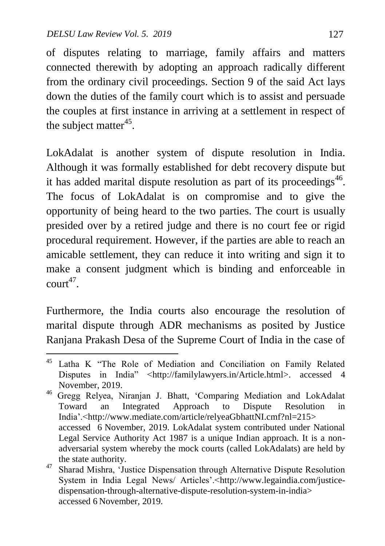of disputes relating to marriage, family affairs and matters connected therewith by adopting an approach radically different from the ordinary civil proceedings. Section 9 of the said Act lays down the duties of the family court which is to assist and persuade the couples at first instance in arriving at a settlement in respect of the subject matter<sup>45</sup>.

LokAdalat is another system of dispute resolution in India. Although it was formally established for debt recovery dispute but it has added marital dispute resolution as part of its proceedings<sup>46</sup>. The focus of LokAdalat is on compromise and to give the opportunity of being heard to the two parties. The court is usually presided over by a retired judge and there is no court fee or rigid procedural requirement. However, if the parties are able to reach an amicable settlement, they can reduce it into writing and sign it to make a consent judgment which is binding and enforceable in  $\text{court}^{47}$ .

Furthermore, the India courts also encourage the resolution of marital dispute through ADR mechanisms as posited by Justice Ranjana Prakash Desa of the Supreme Court of India in the case of

 $\ddot{\phantom{a}}$ <sup>45</sup> Latha K "The Role of Mediation and Conciliation on Family Related Disputes in India" [<http://familylawyers.in/Article.html>](http://familylawyers.in/Article.html). accessed 4 November, 2019.

<sup>46</sup> Gregg Relyea, Niranjan J. Bhatt, "Comparing Mediation and LokAdalat Toward an Integrated Approach to Dispute Resolution in India".[<http://www.mediate.com/article/relyeaGbhattNI.cmf?nl=215>](http://www.mediate.com/article/relyeaGbhattNI.cmf?nl=215) accessed 6 November, 2019. LokAdalat system contributed under National Legal Service Authority Act 1987 is a unique Indian approach. It is a nonadversarial system whereby the mock courts (called LokAdalats) are held by the state authority.

<sup>&</sup>lt;sup>47</sup> Sharad Mishra, 'Justice Dispensation through Alternative Dispute Resolution System in India Legal News/ Articles'.[<http://www.legaindia.com/justice](http://www.legaindia.com/justice-dispensation-through-alternative-dispute-resolution-system-in-india)[dispensation-through-alternative-dispute-resolution-system-in-india>](http://www.legaindia.com/justice-dispensation-through-alternative-dispute-resolution-system-in-india) accessed 6 November, 2019.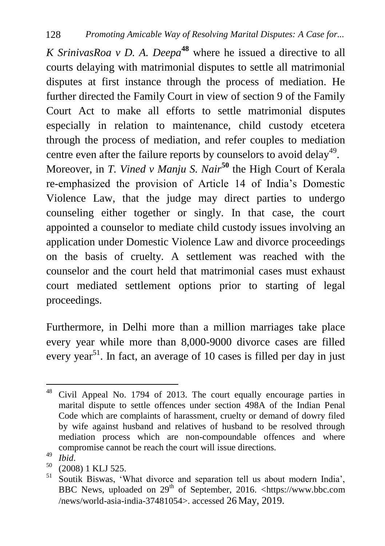*K SrinivasRoa v D. A. Deepa***<sup>48</sup>** where he issued a directive to all courts delaying with matrimonial disputes to settle all matrimonial disputes at first instance through the process of mediation. He further directed the Family Court in view of section 9 of the Family Court Act to make all efforts to settle matrimonial disputes especially in relation to maintenance, child custody etcetera through the process of mediation, and refer couples to mediation centre even after the failure reports by counselors to avoid delay<sup>49</sup>.

Moreover, in *T. Vined v Manju S. Nair***<sup>50</sup>** the High Court of Kerala re-emphasized the provision of Article 14 of India"s Domestic Violence Law, that the judge may direct parties to undergo counseling either together or singly. In that case, the court appointed a counselor to mediate child custody issues involving an application under Domestic Violence Law and divorce proceedings on the basis of cruelty. A settlement was reached with the counselor and the court held that matrimonial cases must exhaust court mediated settlement options prior to starting of legal proceedings.

Furthermore, in Delhi more than a million marriages take place every year while more than 8,000-9000 divorce cases are filled every year<sup>51</sup>. In fact, an average of 10 cases is filled per day in just

 $\ddot{\phantom{a}}$ <sup>48</sup> Civil Appeal No. 1794 of 2013. The court equally encourage parties in marital dispute to settle offences under section 498A of the Indian Penal Code which are complaints of harassment, cruelty or demand of dowry filed by wife against husband and relatives of husband to be resolved through mediation process which are non-compoundable offences and where compromise cannot be reach the court will issue directions.

 $^{49}$  *Ibid.*<br> $^{50}$   $^{7009}$ 

 $^{50}$  (2008) 1 KLJ 525.

[Soutik Biswas,](https://www.bbc.com/news/correspondents/soutikbiswas) 'What divorce and separation tell us about modern India', BBC News, uploaded on  $29<sup>th</sup>$  of September, 2016. <https://www.bbc.com /news/world-asia-india-37481054>. accessed 26 May, 2019.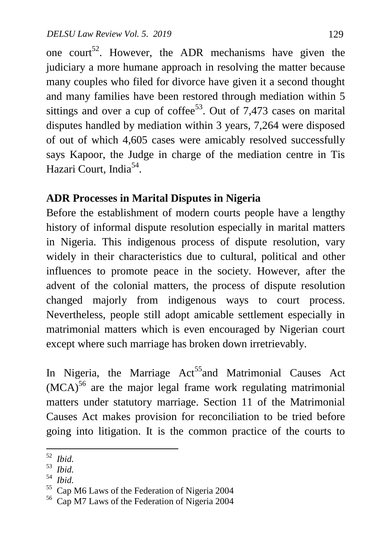one court<sup>52</sup>. However, the ADR mechanisms have given the judiciary a more humane approach in resolving the matter because many couples who filed for divorce have given it a second thought and many families have been restored through mediation within 5 sittings and over a cup of coffee<sup>53</sup>. Out of 7,473 cases on marital disputes handled by mediation within 3 years, 7,264 were disposed of out of which 4,605 cases were amicably resolved successfully says Kapoor, the Judge in charge of the mediation centre in Tis Hazari Court, India<sup>54</sup>.

### **ADR Processes in Marital Disputes in Nigeria**

Before the establishment of modern courts people have a lengthy history of informal dispute resolution especially in marital matters in Nigeria. This indigenous process of dispute resolution, vary widely in their characteristics due to cultural, political and other influences to promote peace in the society. However, after the advent of the colonial matters, the process of dispute resolution changed majorly from indigenous ways to court process. Nevertheless, people still adopt amicable settlement especially in matrimonial matters which is even encouraged by Nigerian court except where such marriage has broken down irretrievably.

In Nigeria, the Marriage  $Act^{55}$  and Matrimonial Causes Act  $(MCA)^{56}$  are the major legal frame work regulating matrimonial matters under statutory marriage. Section 11 of the Matrimonial Causes Act makes provision for reconciliation to be tried before going into litigation. It is the common practice of the courts to

54  *Ibid.*

 52  *Ibid.*

<sup>53</sup> *Ibid.*

<sup>55</sup> Cap M6 Laws of the Federation of Nigeria 2004

<sup>56</sup> Cap M7 Laws of the Federation of Nigeria 2004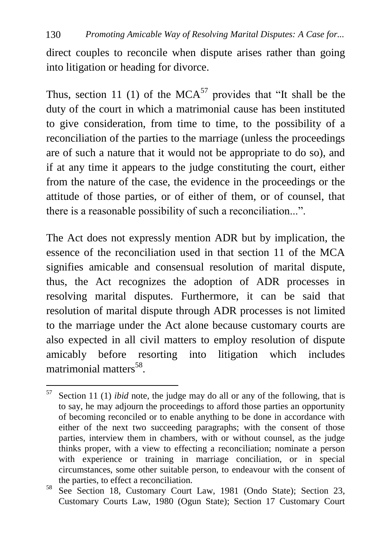direct couples to reconcile when dispute arises rather than going into litigation or heading for divorce.

Thus, section 11 (1) of the MCA<sup>57</sup> provides that "It shall be the duty of the court in which a matrimonial cause has been instituted to give consideration, from time to time, to the possibility of a reconciliation of the parties to the marriage (unless the proceedings are of such a nature that it would not be appropriate to do so), and if at any time it appears to the judge constituting the court, either from the nature of the case, the evidence in the proceedings or the attitude of those parties, or of either of them, or of counsel, that there is a reasonable possibility of such a reconciliation...".

The Act does not expressly mention ADR but by implication, the essence of the reconciliation used in that section 11 of the MCA signifies amicable and consensual resolution of marital dispute, thus, the Act recognizes the adoption of ADR processes in resolving marital disputes. Furthermore, it can be said that resolution of marital dispute through ADR processes is not limited to the marriage under the Act alone because customary courts are also expected in all civil matters to employ resolution of dispute amicably before resorting into litigation which includes matrimonial matters<sup>58</sup>.

<sup>57</sup> Section 11 (1) *ibid* note, the judge may do all or any of the following, that is to say, he may adjourn the proceedings to afford those parties an opportunity of becoming reconciled or to enable anything to be done in accordance with either of the next two succeeding paragraphs; with the consent of those parties, interview them in chambers, with or without counsel, as the judge thinks proper, with a view to effecting a reconciliation; nominate a person with experience or training in marriage conciliation, or in special circumstances, some other suitable person, to endeavour with the consent of the parties, to effect a reconciliation.

<sup>58</sup> See Section 18, Customary Court Law, 1981 (Ondo State); Section 23, Customary Courts Law, 1980 (Ogun State); Section 17 Customary Court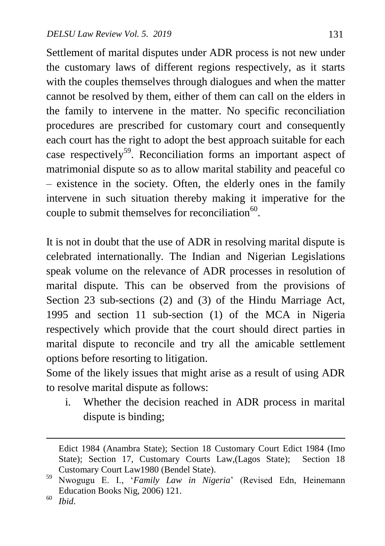Settlement of marital disputes under ADR process is not new under the customary laws of different regions respectively, as it starts with the couples themselves through dialogues and when the matter cannot be resolved by them, either of them can call on the elders in the family to intervene in the matter. No specific reconciliation procedures are prescribed for customary court and consequently each court has the right to adopt the best approach suitable for each case respectively<sup>59</sup>. Reconciliation forms an important aspect of matrimonial dispute so as to allow marital stability and peaceful co – existence in the society. Often, the elderly ones in the family intervene in such situation thereby making it imperative for the couple to submit themselves for reconciliation $^{60}$ .

It is not in doubt that the use of ADR in resolving marital dispute is celebrated internationally. The Indian and Nigerian Legislations speak volume on the relevance of ADR processes in resolution of marital dispute. This can be observed from the provisions of Section 23 sub-sections (2) and (3) of the Hindu Marriage Act, 1995 and section 11 sub-section (1) of the MCA in Nigeria respectively which provide that the court should direct parties in marital dispute to reconcile and try all the amicable settlement options before resorting to litigation.

Some of the likely issues that might arise as a result of using ADR to resolve marital dispute as follows:

i. Whether the decision reached in ADR process in marital dispute is binding;

 $\ddot{\phantom{a}}$ 

Edict 1984 (Anambra State); Section 18 Customary Court Edict 1984 (Imo State); Section 17, Customary Courts Law, (Lagos State); Section 18 Customary Court Law1980 (Bendel State).

<sup>59</sup> Nwogugu E. I., "*Family Law in Nigeria*" (Revised Edn, Heinemann Education Books Nig, 2006) 121.

<sup>60</sup> *Ibid*.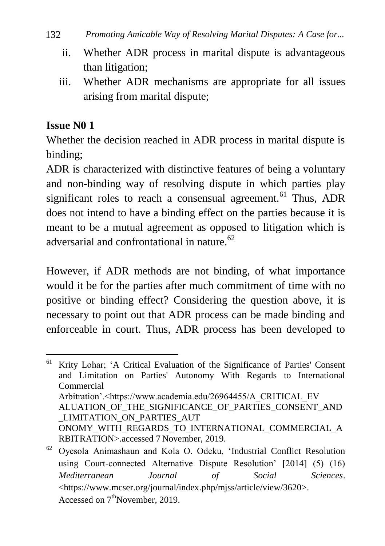- ii. Whether ADR process in marital dispute is advantageous than litigation;
- iii. Whether ADR mechanisms are appropriate for all issues arising from marital dispute;

### **Issue N0 1**

Whether the decision reached in ADR process in marital dispute is binding;

ADR is characterized with distinctive features of being a voluntary and non-binding way of resolving dispute in which parties play significant roles to reach a consensual agreement.<sup>61</sup> Thus, ADR does not intend to have a binding effect on the parties because it is meant to be a mutual agreement as opposed to litigation which is adversarial and confrontational in nature. $62$ 

However, if ADR methods are not binding, of what importance would it be for the parties after much commitment of time with no positive or binding effect? Considering the question above, it is necessary to point out that ADR process can be made binding and enforceable in court. Thus, ADR process has been developed to

<sup>1</sup> <sup>61</sup> Krity Lohar; "A Critical Evaluation of the Significance of Parties' Consent and Limitation on Parties' Autonomy With Regards to International Commercial Arbitration'.<https://www.academia.edu/26964455/A\_CRITICAL\_EV ALUATION OF THE SIGNIFICANCE OF PARTIES CONSENT AND \_LIMITATION\_ON\_PARTIES\_AUT ONOMY\_WITH\_REGARDS\_TO\_INTERNATIONAL\_COMMERCIAL\_A RBITRATION>.accessed 7 November, 2019.

<sup>62</sup> Oyesola Animashaun and Kola O. Odeku, "Industrial Conflict Resolution using Court-connected Alternative Dispute Resolution' [2014] (5) (16) *Mediterranean Journal of Social Sciences*. [<https://www.mcser.org/journal/index.php/mjss/article/view/3620>](https://www.mcser.org/journal/index.php/mjss/article/view/3620). Accessed on  $7<sup>th</sup>$ November, 2019.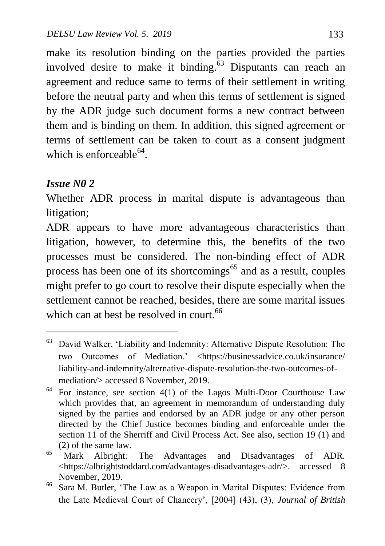make its resolution binding on the parties provided the parties involved desire to make it binding.<sup>63</sup> Disputants can reach an agreement and reduce same to terms of their settlement in writing before the neutral party and when this terms of settlement is signed by the ADR judge such document forms a new contract between them and is binding on them. In addition, this signed agreement or terms of settlement can be taken to court as a consent judgment which is enforceable $^{64}$ .

#### *Issue N0 2*

1

Whether ADR process in marital dispute is advantageous than litigation;

ADR appears to have more advantageous characteristics than litigation, however, to determine this, the benefits of the two processes must be considered. The non-binding effect of ADR process has been one of its shortcomings<sup>65</sup> and as a result, couples might prefer to go court to resolve their dispute especially when the settlement cannot be reached, besides, there are some marital issues which can at best be resolved in court.<sup>66</sup>

<sup>63</sup> David Walker, "Liability and Indemnity: Alternative Dispute Resolution: The two Outcomes of Mediation." [<https://businessadvice.co.uk/insurance/](https://businessadvice.co.uk/insurance/%20liability-and-indemnity/alternative-dispute-resolution-the-two-outcomes-of-mediation/)  [liability-and-indemnity/alternative-dispute-resolution-the-two-outcomes-of](https://businessadvice.co.uk/insurance/%20liability-and-indemnity/alternative-dispute-resolution-the-two-outcomes-of-mediation/)[mediation/>](https://businessadvice.co.uk/insurance/%20liability-and-indemnity/alternative-dispute-resolution-the-two-outcomes-of-mediation/) accessed 8 November, 2019.

<sup>64</sup> For instance, see section 4(1) of the Lagos Multi-Door Courthouse Law which provides that, an agreement in memorandum of understanding duly signed by the parties and endorsed by an ADR judge or any other person directed by the Chief Justice becomes binding and enforceable under the section 11 of the Sherriff and Civil Process Act. See also, section 19 (1) and (2) of the same law.

<sup>65</sup> [Mark Albright](https://albrightstoddard.com/author/mark-albright/)*:* The Advantages and Disadvantages of ADR. [<https://albrightstoddard.com/advantages-disadvantages-adr/>](https://albrightstoddard.com/advantages-disadvantages-adr/). accessed 8 November, 2019.

<sup>66</sup> Sara M. Butler, "The Law as a Weapon in Marital Disputes: Evidence from the Late Medieval Court of Chancery", [2004] (43), (3), *Journal of British*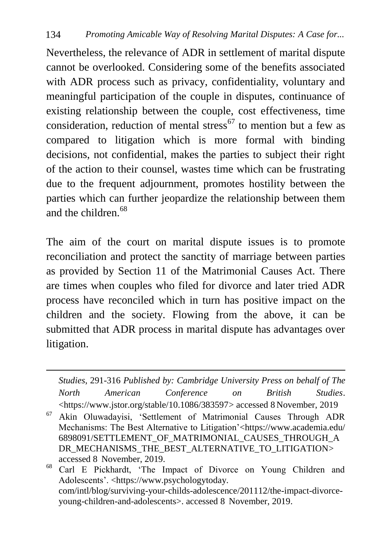Nevertheless, the relevance of ADR in settlement of marital dispute cannot be overlooked. Considering some of the benefits associated with ADR process such as privacy, confidentiality, voluntary and meaningful participation of the couple in disputes, continuance of existing relationship between the couple, cost effectiveness, time consideration, reduction of mental stress<sup>67</sup> to mention but a few as compared to litigation which is more formal with binding decisions, not confidential, makes the parties to subject their right of the action to their counsel, wastes time which can be frustrating due to the frequent adjournment, promotes hostility between the parties which can further jeopardize the relationship between them and the children.<sup>68</sup>

The aim of the court on marital dispute issues is to promote reconciliation and protect the sanctity of marriage between parties as provided by Section 11 of the Matrimonial Causes Act. There are times when couples who filed for divorce and later tried ADR process have reconciled which in turn has positive impact on the children and the society. Flowing from the above, it can be submitted that ADR process in marital dispute has advantages over litigation.

*Studies*, 291-316 *Published by: [Cambridge University Press](https://www.jstor.org/publisher/cup) on behalf of [The](https://www.jstor.org/publisher/nacbs)  [North American Conference on British Studies](https://www.jstor.org/publisher/nacbs)*. [<https://www.jstor.org/stable/10.1086/383597>](https://www.jstor.org/stable/10.1086/383597) accessed 8 November, 2019

1

<sup>67</sup> Akin Oluwadayisi, "Settlement of Matrimonial Causes Through ADR Mechanisms: The Best Alternative to Litigation"[<https://www.academia.edu/](https://www.academia.edu/%206898091/SETTLEMENT_OF_MATRIMONIAL_CAUSES_THROUGH_ADR_MECHANISMS_THE_BEST_ALTERNATIVE_TO_LITIGATION)  [6898091/SETTLEMENT\\_OF\\_MATRIMONIAL\\_CAUSES\\_THROUGH\\_A](https://www.academia.edu/%206898091/SETTLEMENT_OF_MATRIMONIAL_CAUSES_THROUGH_ADR_MECHANISMS_THE_BEST_ALTERNATIVE_TO_LITIGATION) [DR\\_MECHANISMS\\_THE\\_BEST\\_ALTERNATIVE\\_TO\\_LITIGATION>](https://www.academia.edu/%206898091/SETTLEMENT_OF_MATRIMONIAL_CAUSES_THROUGH_ADR_MECHANISMS_THE_BEST_ALTERNATIVE_TO_LITIGATION) accessed 8 November, 2019.

<sup>68</sup> Carl E Pickhardt, "The Impact of Divorce on Young Children and Adolescents'. <https://www.psychologytoday. com/intl/blog/surviving-your-childs-adolescence/201112/the-impact-divorceyoung-children-and-adolescents>. accessed 8 November, 2019.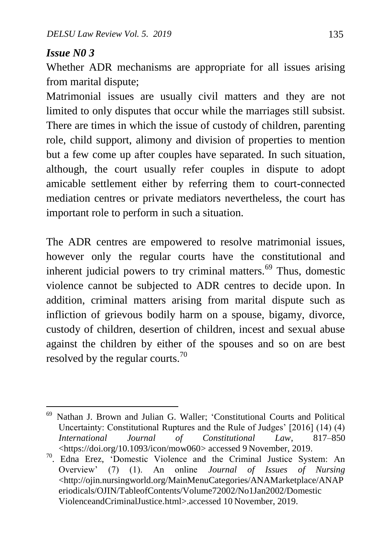#### *Issue N0 3*

1

Whether ADR mechanisms are appropriate for all issues arising from marital dispute;

Matrimonial issues are usually civil matters and they are not limited to only disputes that occur while the marriages still subsist. There are times in which the issue of custody of children, parenting role, child support, alimony and division of properties to mention but a few come up after couples have separated. In such situation, although, the court usually refer couples in dispute to adopt amicable settlement either by referring them to court-connected mediation centres or private mediators nevertheless, the court has important role to perform in such a situation.

The ADR centres are empowered to resolve matrimonial issues, however only the regular courts have the constitutional and inherent judicial powers to try criminal matters.<sup>69</sup> Thus, domestic violence cannot be subjected to ADR centres to decide upon. In addition, criminal matters arising from marital dispute such as infliction of grievous bodily harm on a spouse, bigamy, divorce, custody of children, desertion of children, incest and sexual abuse against the children by either of the spouses and so on are best resolved by the regular courts.<sup>70</sup>

<sup>69</sup> [Nathan J. Brown](javascript:;) and [Julian G. Waller;](javascript:;) "Constitutional Courts and Political Uncertainty: Constitutional Ruptures and the Rule of Judges" [2016] (14) (4) *International Journal of Constitutional Law*, 817–850 [<https://doi.org/10.1093/icon/mow060>](https://doi.org/10.1093/icon/mow060) accessed 9 November, 2019.

<sup>70</sup> . [Edna Erez, "](http://ojin.nursingworld.org/MainMenuCategories/ANAMarketplace/ANAPeriodicals/OJIN/TableofContents/Volume72002/No1Jan2002/DomesticViolenceandCriminalJustice.html#Erez)Domestic Violence and the Criminal Justice System: An Overview" (7) (1). An online *Journal of Issues of Nursing* <http://ojin.nursingworld.org/MainMenuCategories/ANAMarketplace/ANAP eriodicals/OJIN/TableofContents/Volume72002/No1Jan2002/Domestic ViolenceandCriminalJustice.html>.accessed 10 November, 2019.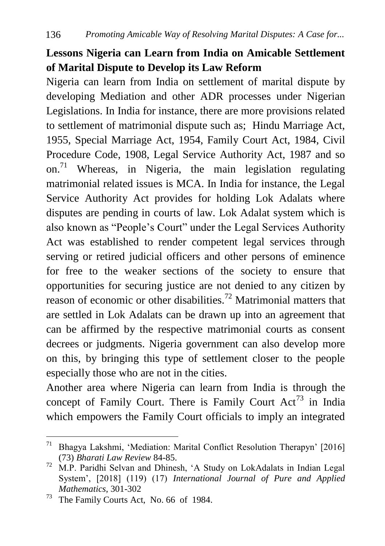# **Lessons Nigeria can Learn from India on Amicable Settlement of Marital Dispute to Develop its Law Reform**

Nigeria can learn from India on settlement of marital dispute by developing Mediation and other ADR processes under Nigerian Legislations. In India for instance, there are more provisions related to settlement of matrimonial dispute such as; Hindu Marriage Act, 1955, Special Marriage Act, 1954, Family Court Act, 1984, Civil Procedure Code, 1908, Legal Service Authority Act, 1987 and so on.<sup>71</sup> Whereas, in Nigeria, the main legislation regulating matrimonial related issues is MCA. In India for instance, the Legal Service Authority Act provides for holding Lok Adalats where disputes are pending in courts of law. Lok Adalat system which is also known as "People"s Court" under the Legal Services Authority Act was established to render competent legal services through serving or retired judicial officers and other persons of eminence for free to the weaker sections of the society to ensure that opportunities for securing justice are not denied to any citizen by reason of economic or other disabilities.<sup>72</sup> Matrimonial matters that are settled in Lok Adalats can be drawn up into an agreement that can be affirmed by the respective matrimonial courts as consent decrees or judgments. Nigeria government can also develop more on this, by bringing this type of settlement closer to the people especially those who are not in the cities.

Another area where Nigeria can learn from India is through the concept of Family Court. There is Family Court  $Act^{73}$  in India which empowers the Family Court officials to imply an integrated

 $\overline{a}$ 

<sup>&</sup>lt;sup>71</sup> Bhagya Lakshmi, 'Mediation: Marital Conflict Resolution Therapyn' [2016] (73) *Bharati Law Review* 84-85.

<sup>72</sup> M.P. Paridhi Selvan and Dhinesh, "A Study on LokAdalats in Indian Legal System", [2018] (119) (17) *International Journal of Pure and Applied Mathematics*, 301-302

<sup>73</sup> The Family Courts Act, No. 66 of 1984.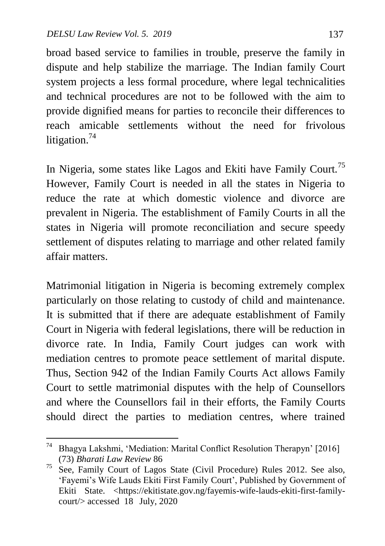broad based service to families in trouble, preserve the family in dispute and help stabilize the marriage. The Indian family Court system projects a less formal procedure, where legal technicalities and technical procedures are not to be followed with the aim to provide dignified means for parties to reconcile their differences to reach amicable settlements without the need for frivolous litigation.<sup>74</sup>

In Nigeria, some states like Lagos and Ekiti have Family Court.<sup>75</sup> However, Family Court is needed in all the states in Nigeria to reduce the rate at which domestic violence and divorce are prevalent in Nigeria. The establishment of Family Courts in all the states in Nigeria will promote reconciliation and secure speedy settlement of disputes relating to marriage and other related family affair matters.

Matrimonial litigation in Nigeria is becoming extremely complex particularly on those relating to custody of child and maintenance. It is submitted that if there are adequate establishment of Family Court in Nigeria with federal legislations, there will be reduction in divorce rate. In India, Family Court judges can work with mediation centres to promote peace settlement of marital dispute. Thus, Section 942 of the Indian Family Courts Act allows Family Court to settle matrimonial disputes with the help of Counsellors and where the Counsellors fail in their efforts, the Family Courts should direct the parties to mediation centres, where trained

 $74$ Bhagya Lakshmi, 'Mediation: Marital Conflict Resolution Therapyn' [2016] (73) *Bharati Law Review* 86

 $75$  See, Family Court of Lagos State (Civil Procedure) Rules 2012. See also, 'Fayemi's Wife Lauds Ekiti First Family Court', Published by Government of Ekiti State. [<https://ekitistate.gov.ng/fayemis-wife-lauds-ekiti-first-family](https://ekitistate.gov.ng/fayemis-wife-lauds-ekiti-first-family-court/)[court/>](https://ekitistate.gov.ng/fayemis-wife-lauds-ekiti-first-family-court/) accessed 18 July, 2020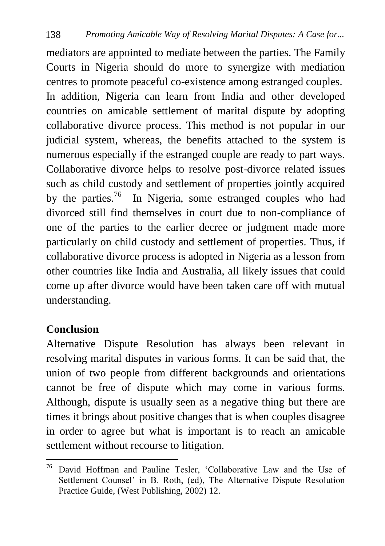mediators are appointed to mediate between the parties. The Family Courts in Nigeria should do more to synergize with mediation centres to promote peaceful co-existence among estranged couples. In addition, Nigeria can learn from India and other developed countries on amicable settlement of marital dispute by adopting collaborative divorce process. This method is not popular in our judicial system, whereas, the benefits attached to the system is numerous especially if the estranged couple are ready to part ways. Collaborative divorce helps to resolve post-divorce related issues such as child custody and settlement of properties jointly acquired by the parties.<sup>76</sup> In Nigeria, some estranged couples who had divorced still find themselves in court due to non-compliance of one of the parties to the earlier decree or judgment made more particularly on child custody and settlement of properties. Thus, if collaborative divorce process is adopted in Nigeria as a lesson from other countries like India and Australia, all likely issues that could come up after divorce would have been taken care off with mutual understanding.

### **Conclusion**

Alternative Dispute Resolution has always been relevant in resolving marital disputes in various forms. It can be said that, the union of two people from different backgrounds and orientations cannot be free of dispute which may come in various forms. Although, dispute is usually seen as a negative thing but there are times it brings about positive changes that is when couples disagree in order to agree but what is important is to reach an amicable settlement without recourse to litigation.

 $\overline{a}$ <sup>76</sup> David Hoffman and Pauline Tesler, 'Collaborative Law and the Use of Settlement Counsel' in B. Roth, (ed), The Alternative Dispute Resolution Practice Guide, (West Publishing, 2002) 12.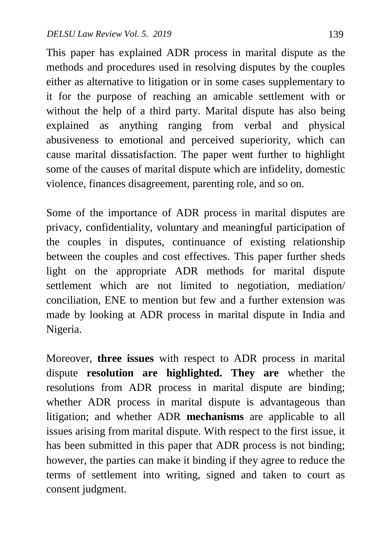This paper has explained ADR process in marital dispute as the methods and procedures used in resolving disputes by the couples either as alternative to litigation or in some cases supplementary to it for the purpose of reaching an amicable settlement with or without the help of a third party. Marital dispute has also being explained as anything ranging from verbal and physical abusiveness to emotional and perceived superiority, which can cause marital dissatisfaction. The paper went further to highlight some of the causes of marital dispute which are infidelity, domestic violence, finances disagreement, parenting role, and so on.

Some of the importance of ADR process in marital disputes are privacy, confidentiality, voluntary and meaningful participation of the couples in disputes, continuance of existing relationship between the couples and cost effectives. This paper further sheds light on the appropriate ADR methods for marital dispute settlement which are not limited to negotiation, mediation/ conciliation, ENE to mention but few and a further extension was made by looking at ADR process in marital dispute in India and Nigeria.

Moreover, **three issues** with respect to ADR process in marital dispute **resolution are highlighted. They are** whether the resolutions from ADR process in marital dispute are binding; whether ADR process in marital dispute is advantageous than litigation; and whether ADR **mechanisms** are applicable to all issues arising from marital dispute. With respect to the first issue, it has been submitted in this paper that ADR process is not binding; however, the parties can make it binding if they agree to reduce the terms of settlement into writing, signed and taken to court as consent judgment.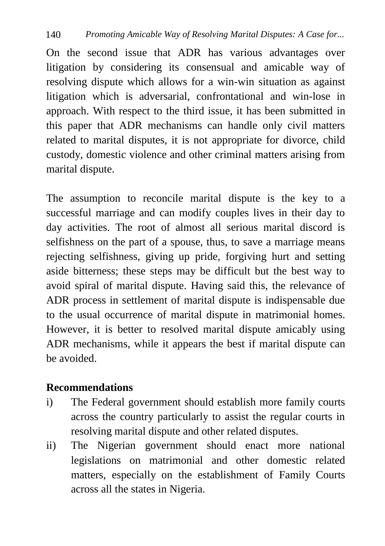On the second issue that ADR has various advantages over litigation by considering its consensual and amicable way of resolving dispute which allows for a win-win situation as against litigation which is adversarial, confrontational and win-lose in approach. With respect to the third issue, it has been submitted in this paper that ADR mechanisms can handle only civil matters related to marital disputes, it is not appropriate for divorce, child custody, domestic violence and other criminal matters arising from marital dispute.

The assumption to reconcile marital dispute is the key to a successful marriage and can modify couples lives in their day to day activities. The root of almost all serious marital discord is selfishness on the part of a spouse, thus, to save a marriage means rejecting selfishness, giving up pride, forgiving hurt and setting aside bitterness; these steps may be difficult but the best way to avoid spiral of marital dispute. Having said this, the relevance of ADR process in settlement of marital dispute is indispensable due to the usual occurrence of marital dispute in matrimonial homes. However, it is better to resolved marital dispute amicably using ADR mechanisms, while it appears the best if marital dispute can be avoided.

### **Recommendations**

- i) The Federal government should establish more family courts across the country particularly to assist the regular courts in resolving marital dispute and other related disputes.
- ii) The Nigerian government should enact more national legislations on matrimonial and other domestic related matters, especially on the establishment of Family Courts across all the states in Nigeria.